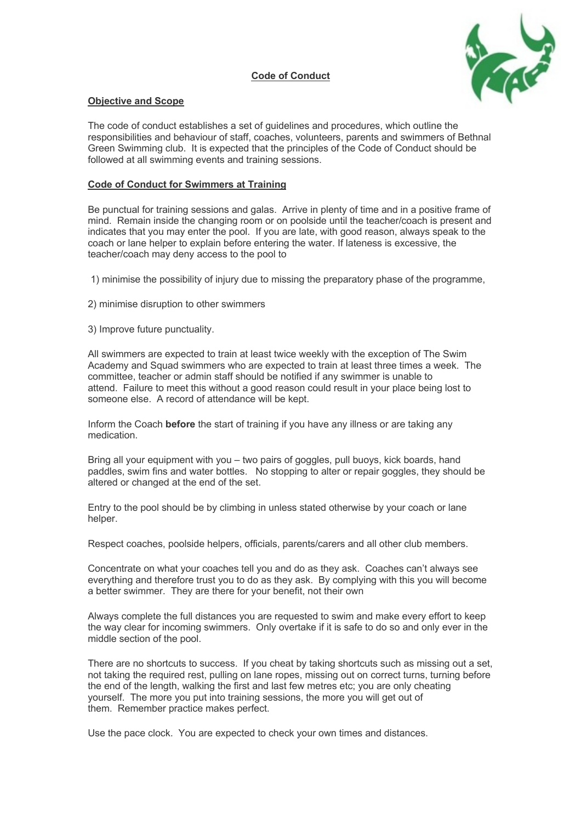



## **Objective and Scope**

The code of conduct establishes a set of guidelines and procedures, which outline the responsibilities and behaviour of staff, coaches, volunteers, parents and swimmers of Bethnal Green Swimming club. It is expected that the principles of the Code of Conduct should be followed at all swimming events and training sessions.

## **Code of Conduct for Swimmers at Training**

Be punctual for training sessions and galas. Arrive in plenty of time and in a positive frame of mind. Remain inside the changing room or on poolside until the teacher/coach is present and indicates that you may enter the pool. If you are late, with good reason, always speak to the coach or lane helper to explain before entering the water. If lateness is excessive, the teacher/coach may deny access to the pool to

1) minimise the possibility of injury due to missing the preparatory phase of the programme,

2) minimise disruption to other swimmers

3) Improve future punctuality.

All swimmers are expected to train at least twice weekly with the exception of The Swim Academy and Squad swimmers who are expected to train at least three times a week. The committee, teacher or admin staff should be notified if any swimmer is unable to attend. Failure to meet this without a good reason could result in your place being lost to someone else. A record of attendance will be kept.

Inform the Coach **before** the start of training if you have any illness or are taking any medication.

Bring all your equipment with you – two pairs of goggles, pull buoys, kick boards, hand paddles, swim fins and water bottles. No stopping to alter or repair goggles, they should be altered or changed at the end of the set.

Entry to the pool should be by climbing in unless stated otherwise by your coach or lane helper.

Respect coaches, poolside helpers, officials, parents/carers and all other club members.

Concentrate on what your coaches tell you and do as they ask. Coaches can't always see everything and therefore trust you to do as they ask. By complying with this you will become a better swimmer. They are there for your benefit, not their own

Always complete the full distances you are requested to swim and make every effort to keep the way clear for incoming swimmers. Only overtake if it is safe to do so and only ever in the middle section of the pool.

There are no shortcuts to success. If you cheat by taking shortcuts such as missing out a set, not taking the required rest, pulling on lane ropes, missing out on correct turns, turning before the end of the length, walking the first and last few metres etc; you are only cheating yourself. The more you put into training sessions, the more you will get out of them. Remember practice makes perfect.

Use the pace clock. You are expected to check your own times and distances.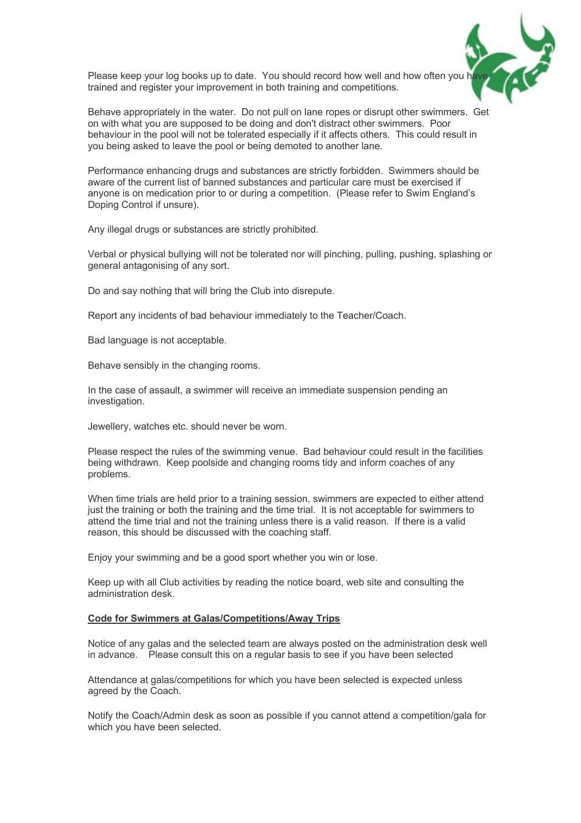

Please keep your log books up to date. You should record how well and how often you h trained and register your improvement in both training and competitions.

Behave appropriately in the water. Do not pull on lane ropes or disrupt other swimmers. Get on with what you are supposed to be doing and don't distract other swimmers. Poor behaviour in the pool will not be tolerated especially if it affects others. This could result in you being asked to leave the pool or being demoted to another lane.

Performance enhancing drugs and substances are strictly forbidden. Swimmers should be aware of the current list of banned substances and particular care must be exercised if anyone is on medication prior to or during a competition. (Please refer to Swim England's Doping Control if unsure).

Any illegal drugs or substances are strictly prohibited.

Verbal or physical bullying will not be tolerated nor will pinching, pulling, pushing, splashing or general antagonising of any sort.

Do and say nothing that will bring the Club into disrepute.

Report any incidents of bad behaviour immediately to the Teacher/Coach.

Bad language is not acceptable.

Behave sensibly in the changing rooms.

In the case of assault, a swimmer will receive an immediate suspension pending an investigation.

Jewellery, watches etc. should never be worn.

Please respect the rules of the swimming venue. Bad behaviour could result in the facilities being withdrawn. Keep poolside and changing rooms tidy and inform coaches of any problems.

When time trials are held prior to a training session, swimmers are expected to either attend just the training or both the training and the time trial. It is not acceptable for swimmers to attend the time trial and not the training unless there is a valid reason. If there is a valid reason, this should be discussed with the coaching staff.

Enjoy your swimming and be a good sport whether you win or lose.

Keep up with all Club activities by reading the notice board, web site and consulting the administration desk.

## **Code for Swimmers at Galas/Competitions/Away Trips**

Notice of any galas and the selected team are always posted on the administration desk well in advance. Please consult this on a regular basis to see if you have been selected

Attendance at galas/competitions for which you have been selected is expected unless agreed by the Coach.

Notify the Coach/Admin desk as soon as possible if you cannot attend a competition/gala for which you have been selected.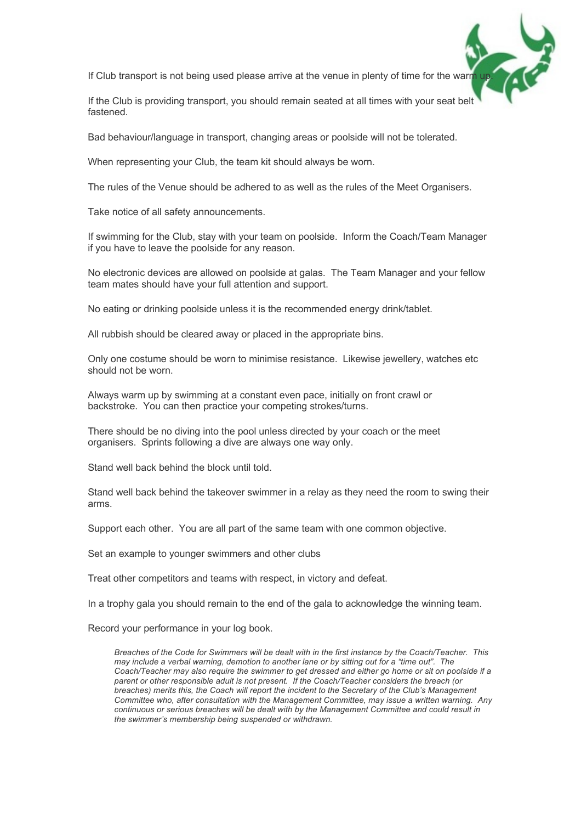If Club transport is not being used please arrive at the venue in plenty of time for the warm up.

If the Club is providing transport, you should remain seated at all times with your seat belt fastened.

Bad behaviour/language in transport, changing areas or poolside will not be tolerated.

When representing your Club, the team kit should always be worn.

The rules of the Venue should be adhered to as well as the rules of the Meet Organisers.

Take notice of all safety announcements.

If swimming for the Club, stay with your team on poolside. Inform the Coach/Team Manager if you have to leave the poolside for any reason.

No electronic devices are allowed on poolside at galas. The Team Manager and your fellow team mates should have your full attention and support.

No eating or drinking poolside unless it is the recommended energy drink/tablet.

All rubbish should be cleared away or placed in the appropriate bins.

Only one costume should be worn to minimise resistance. Likewise jewellery, watches etc should not be worn.

Always warm up by swimming at a constant even pace, initially on front crawl or backstroke. You can then practice your competing strokes/turns.

There should be no diving into the pool unless directed by your coach or the meet organisers. Sprints following a dive are always one way only.

Stand well back behind the block until told.

Stand well back behind the takeover swimmer in a relay as they need the room to swing their arms.

Support each other. You are all part of the same team with one common objective.

Set an example to younger swimmers and other clubs

Treat other competitors and teams with respect, in victory and defeat.

In a trophy gala you should remain to the end of the gala to acknowledge the winning team.

Record your performance in your log book.

*Breaches of the Code for Swimmers will be dealt with in the first instance by the Coach/Teacher. This may include a verbal warning, demotion to another lane or by sitting out for a "time out". The Coach/Teacher may also require the swimmer to get dressed and either go home or sit on poolside if a parent or other responsible adult is not present. If the Coach/Teacher considers the breach (or breaches) merits this, the Coach will report the incident to the Secretary of the Club's Management Committee who, after consultation with the Management Committee, may issue a written warning. Any continuous or serious breaches will be dealt with by the Management Committee and could result in the swimmer's membership being suspended or withdrawn.*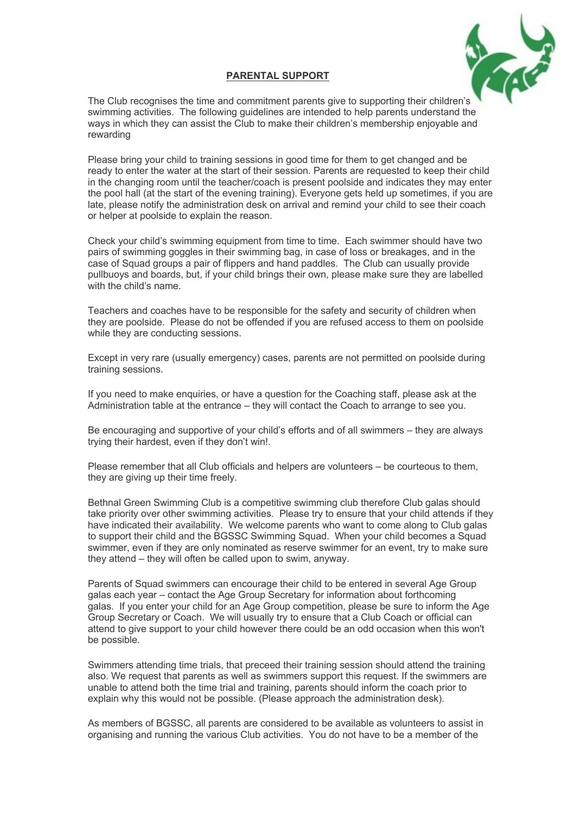

## **PARENTAL SUPPORT**

The Club recognises the time and commitment parents give to supporting their children's swimming activities. The following guidelines are intended to help parents understand the ways in which they can assist the Club to make their children's membership enjoyable and rewarding

Please bring your child to training sessions in good time for them to get changed and be ready to enter the water at the start of their session. Parents are requested to keep their child in the changing room until the teacher/coach is present poolside and indicates they may enter the pool hall (at the start of the evening training). Everyone gets held up sometimes, if you are late, please notify the administration desk on arrival and remind your child to see their coach or helper at poolside to explain the reason.

Check your child's swimming equipment from time to time. Each swimmer should have two pairs of swimming goggles in their swimming bag, in case of loss or breakages, and in the case of Squad groups a pair of flippers and hand paddles. The Club can usually provide pullbuoys and boards, but, if your child brings their own, please make sure they are labelled with the child's name.

Teachers and coaches have to be responsible for the safety and security of children when they are poolside. Please do not be offended if you are refused access to them on poolside while they are conducting sessions.

Except in very rare (usually emergency) cases, parents are not permitted on poolside during training sessions.

If you need to make enquiries, or have a question for the Coaching staff, please ask at the Administration table at the entrance – they will contact the Coach to arrange to see you.

Be encouraging and supportive of your child's efforts and of all swimmers – they are always trying their hardest, even if they don't win!.

Please remember that all Club officials and helpers are volunteers – be courteous to them, they are giving up their time freely.

Bethnal Green Swimming Club is a competitive swimming club therefore Club galas should take priority over other swimming activities. Please try to ensure that your child attends if they have indicated their availability. We welcome parents who want to come along to Club galas to support their child and the BGSSC Swimming Squad. When your child becomes a Squad swimmer, even if they are only nominated as reserve swimmer for an event, try to make sure they attend – they will often be called upon to swim, anyway.

Parents of Squad swimmers can encourage their child to be entered in several Age Group galas each year – contact the Age Group Secretary for information about forthcoming galas. If you enter your child for an Age Group competition, please be sure to inform the Age Group Secretary or Coach. We will usually try to ensure that a Club Coach or official can attend to give support to your child however there could be an odd occasion when this won't be possible.

Swimmers attending time trials, that preceed their training session should attend the training also. We request that parents as well as swimmers support this request. If the swimmers are unable to attend both the time trial and training, parents should inform the coach prior to explain why this would not be possible. (Please approach the administration desk).

As members of BGSSC, all parents are considered to be available as volunteers to assist in organising and running the various Club activities. You do not have to be a member of the